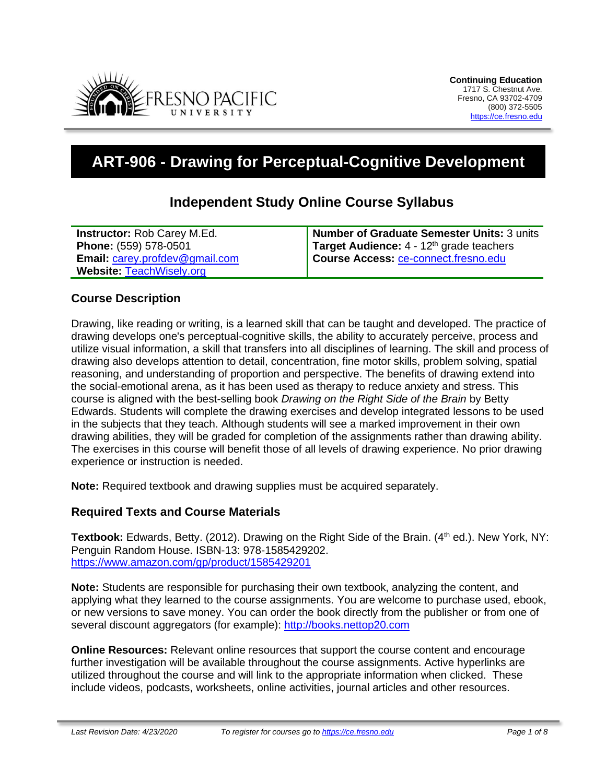

# **ART-906 - Drawing for Perceptual-Cognitive Development**

## **Independent Study Online Course Syllabus**

| <b>Instructor: Rob Carey M.Ed.</b>    | Number of Graduate Semester Units: 3 units           |
|---------------------------------------|------------------------------------------------------|
| Phone: (559) 578-0501                 | Target Audience: 4 - 12 <sup>th</sup> grade teachers |
| <b>Email: carey.profdev@gmail.com</b> | Course Access: ce-connect.fresno.edu                 |
| <b>Website: TeachWisely.org</b>       |                                                      |

#### **Course Description**

Drawing, like reading or writing, is a learned skill that can be taught and developed. The practice of drawing develops one's perceptual-cognitive skills, the ability to accurately perceive, process and utilize visual information, a skill that transfers into all disciplines of learning. The skill and process of drawing also develops attention to detail, concentration, fine motor skills, problem solving, spatial reasoning, and understanding of proportion and perspective. The benefits of drawing extend into the social-emotional arena, as it has been used as therapy to reduce anxiety and stress. This course is aligned with the best-selling book *Drawing on the Right Side of the Brain* by Betty Edwards. Students will complete the drawing exercises and develop integrated lessons to be used in the subjects that they teach. Although students will see a marked improvement in their own drawing abilities, they will be graded for completion of the assignments rather than drawing ability. The exercises in this course will benefit those of all levels of drawing experience. No prior drawing experience or instruction is needed.

**Note:** Required textbook and drawing supplies must be acquired separately.

#### **Required Texts and Course Materials**

Textbook: Edwards, Betty. (2012). Drawing on the Right Side of the Brain. (4<sup>th</sup> ed.). New York, NY: Penguin Random House. ISBN-13: 978-1585429202. <https://www.amazon.com/gp/product/1585429201>

**Note:** Students are responsible for purchasing their own textbook, analyzing the content, and applying what they learned to the course assignments. You are welcome to purchase used, ebook, or new versions to save money. You can order the book directly from the publisher or from one of several discount aggregators (for example): [http://books.nettop20.com](http://books.nettop20.com/)

**Online Resources:** Relevant online resources that support the course content and encourage further investigation will be available throughout the course assignments. Active hyperlinks are utilized throughout the course and will link to the appropriate information when clicked. These include videos, podcasts, worksheets, online activities, journal articles and other resources.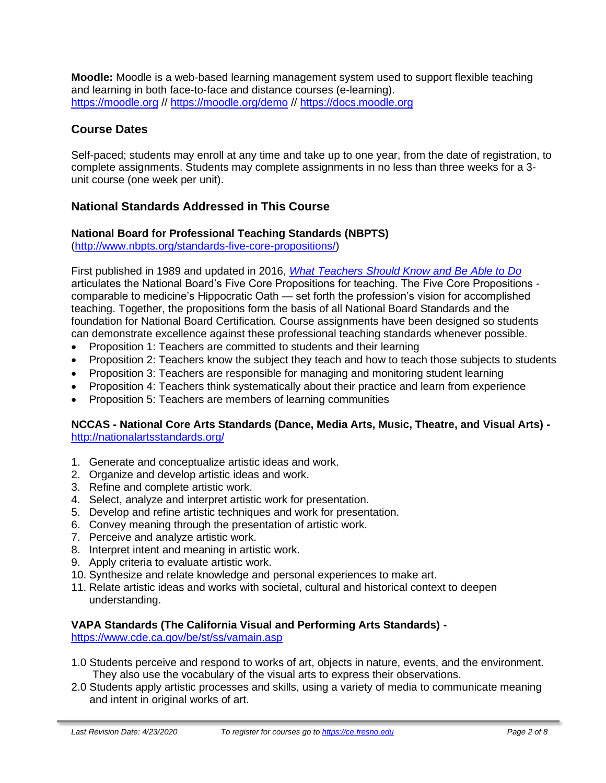**Moodle:** Moodle is a web-based learning management system used to support flexible teaching and learning in both face-to-face and distance courses (e-learning). [https://moodle.org](https://moodle.org/) // <https://moodle.org/demo> // [https://docs.moodle.org](https://docs.moodle.org/)

#### **Course Dates**

Self-paced; students may enroll at any time and take up to one year, from the date of registration, to complete assignments. Students may complete assignments in no less than three weeks for a 3 unit course (one week per unit).

## **National Standards Addressed in This Course**

#### **National Board for Professional Teaching Standards (NBPTS)**

[\(http://www.nbpts.org/standards-five-core-propositions/\)](http://www.nbpts.org/standards-five-core-propositions/)

First published in 1989 and updated in 2016, *[What Teachers Should Know and Be Able to Do](http://www.accomplishedteacher.org/)* articulates the National Board's Five Core Propositions for teaching. The Five Core Propositions comparable to medicine's Hippocratic Oath — set forth the profession's vision for accomplished teaching. Together, the propositions form the basis of all National Board Standards and the foundation for National Board Certification. Course assignments have been designed so students can demonstrate excellence against these professional teaching standards whenever possible.

- Proposition 1: Teachers are committed to students and their learning
- Proposition 2: Teachers know the subject they teach and how to teach those subjects to students
- Proposition 3: Teachers are responsible for managing and monitoring student learning
- Proposition 4: Teachers think systematically about their practice and learn from experience
- Proposition 5: Teachers are members of learning communities

#### **NCCAS - National Core Arts Standards (Dance, Media Arts, Music, Theatre, and Visual Arts)**  <http://nationalartsstandards.org/>

- 1. Generate and conceptualize artistic ideas and work.
- 2. Organize and develop artistic ideas and work.
- 3. Refine and complete artistic work.
- 4. Select, analyze and interpret artistic work for presentation.
- 5. Develop and refine artistic techniques and work for presentation.
- 6. Convey meaning through the presentation of artistic work.
- 7. Perceive and analyze artistic work.
- 8. Interpret intent and meaning in artistic work.
- 9. Apply criteria to evaluate artistic work.
- 10. Synthesize and relate knowledge and personal experiences to make art.
- 11. Relate artistic ideas and works with societal, cultural and historical context to deepen understanding.

#### **VAPA Standards (The California Visual and Performing Arts Standards) -**

<https://www.cde.ca.gov/be/st/ss/vamain.asp>

- 1.0 Students perceive and respond to works of art, objects in nature, events, and the environment. They also use the vocabulary of the visual arts to express their observations.
- 2.0 Students apply artistic processes and skills, using a variety of media to communicate meaning and intent in original works of art.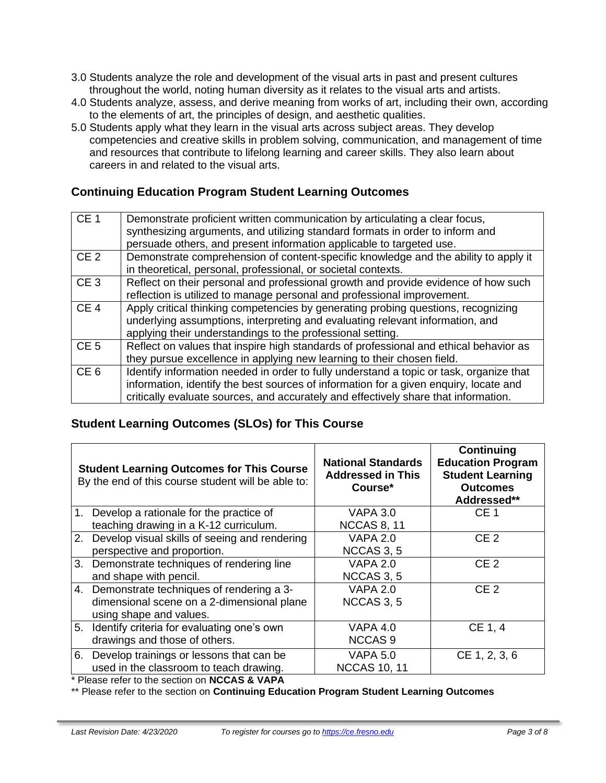- 3.0 Students analyze the role and development of the visual arts in past and present cultures throughout the world, noting human diversity as it relates to the visual arts and artists.
- 4.0 Students analyze, assess, and derive meaning from works of art, including their own, according to the elements of art, the principles of design, and aesthetic qualities.
- 5.0 Students apply what they learn in the visual arts across subject areas. They develop competencies and creative skills in problem solving, communication, and management of time and resources that contribute to lifelong learning and career skills. They also learn about careers in and related to the visual arts.

## **Continuing Education Program Student Learning Outcomes**

| CE <sub>1</sub> | Demonstrate proficient written communication by articulating a clear focus,<br>synthesizing arguments, and utilizing standard formats in order to inform and<br>persuade others, and present information applicable to targeted use.                                    |
|-----------------|-------------------------------------------------------------------------------------------------------------------------------------------------------------------------------------------------------------------------------------------------------------------------|
| CE <sub>2</sub> | Demonstrate comprehension of content-specific knowledge and the ability to apply it<br>in theoretical, personal, professional, or societal contexts.                                                                                                                    |
| CE <sub>3</sub> | Reflect on their personal and professional growth and provide evidence of how such<br>reflection is utilized to manage personal and professional improvement.                                                                                                           |
| CE <sub>4</sub> | Apply critical thinking competencies by generating probing questions, recognizing<br>underlying assumptions, interpreting and evaluating relevant information, and<br>applying their understandings to the professional setting.                                        |
| CE <sub>5</sub> | Reflect on values that inspire high standards of professional and ethical behavior as<br>they pursue excellence in applying new learning to their chosen field.                                                                                                         |
| CE <sub>6</sub> | Identify information needed in order to fully understand a topic or task, organize that<br>information, identify the best sources of information for a given enquiry, locate and<br>critically evaluate sources, and accurately and effectively share that information. |

## **Student Learning Outcomes (SLOs) for This Course**

|    | <b>Student Learning Outcomes for This Course</b><br>By the end of this course student will be able to: | <b>National Standards</b><br><b>Addressed in This</b><br>Course* | <b>Continuing</b><br><b>Education Program</b><br><b>Student Learning</b><br><b>Outcomes</b><br>Addressed** |
|----|--------------------------------------------------------------------------------------------------------|------------------------------------------------------------------|------------------------------------------------------------------------------------------------------------|
|    | 1. Develop a rationale for the practice of                                                             | <b>VAPA 3.0</b>                                                  | CE <sub>1</sub>                                                                                            |
|    | teaching drawing in a K-12 curriculum.                                                                 | <b>NCCAS 8, 11</b>                                               |                                                                                                            |
|    | 2. Develop visual skills of seeing and rendering                                                       | <b>VAPA 2.0</b>                                                  | CE <sub>2</sub>                                                                                            |
|    | perspective and proportion.                                                                            | <b>NCCAS 3, 5</b>                                                |                                                                                                            |
|    | 3. Demonstrate techniques of rendering line                                                            | <b>VAPA 2.0</b>                                                  | CE <sub>2</sub>                                                                                            |
|    | and shape with pencil.                                                                                 | NCCAS 3, 5                                                       |                                                                                                            |
|    | 4. Demonstrate techniques of rendering a 3-                                                            | <b>VAPA 2.0</b>                                                  | CE <sub>2</sub>                                                                                            |
|    | dimensional scene on a 2-dimensional plane                                                             | NCCAS 3, 5                                                       |                                                                                                            |
|    | using shape and values.                                                                                |                                                                  |                                                                                                            |
|    | 5. Identify criteria for evaluating one's own                                                          | VAPA 4.0                                                         | CE 1, 4                                                                                                    |
|    | drawings and those of others.                                                                          | <b>NCCAS9</b>                                                    |                                                                                                            |
| 6. | Develop trainings or lessons that can be                                                               | <b>VAPA 5.0</b>                                                  | CE 1, 2, 3, 6                                                                                              |
|    | used in the classroom to teach drawing.                                                                | <b>NCCAS 10, 11</b>                                              |                                                                                                            |

\* Please refer to the section on **NCCAS & VAPA**

\*\* Please refer to the section on **Continuing Education Program Student Learning Outcomes**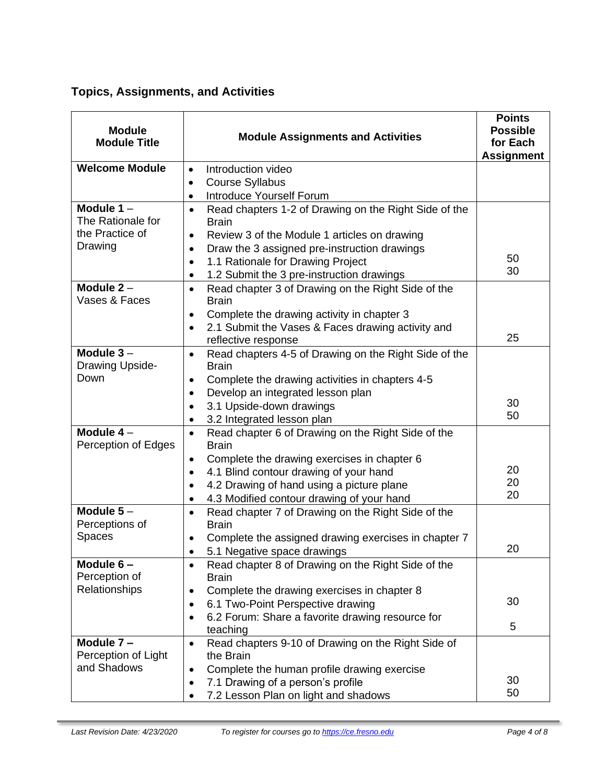## **Topics, Assignments, and Activities**

| <b>Module</b><br><b>Module Title</b> | <b>Module Assignments and Activities</b>                                           | <b>Points</b><br><b>Possible</b><br>for Each<br><b>Assignment</b> |
|--------------------------------------|------------------------------------------------------------------------------------|-------------------------------------------------------------------|
| <b>Welcome Module</b>                | Introduction video<br>$\bullet$                                                    |                                                                   |
|                                      | <b>Course Syllabus</b><br>$\bullet$                                                |                                                                   |
|                                      | Introduce Yourself Forum<br>$\bullet$                                              |                                                                   |
| Module $1 -$<br>The Rationale for    | Read chapters 1-2 of Drawing on the Right Side of the<br>$\bullet$<br><b>Brain</b> |                                                                   |
| the Practice of                      | Review 3 of the Module 1 articles on drawing<br>$\bullet$                          |                                                                   |
| Drawing                              | Draw the 3 assigned pre-instruction drawings<br>$\bullet$                          | 50                                                                |
|                                      | 1.1 Rationale for Drawing Project<br>$\bullet$                                     | 30                                                                |
|                                      | 1.2 Submit the 3 pre-instruction drawings<br>$\bullet$                             |                                                                   |
| Module $2 -$<br>Vases & Faces        | Read chapter 3 of Drawing on the Right Side of the<br>$\bullet$<br><b>Brain</b>    |                                                                   |
|                                      | Complete the drawing activity in chapter 3<br>$\bullet$                            |                                                                   |
|                                      | 2.1 Submit the Vases & Faces drawing activity and<br>reflective response           | 25                                                                |
| Module $3-$<br>Drawing Upside-       | Read chapters 4-5 of Drawing on the Right Side of the<br>$\bullet$<br><b>Brain</b> |                                                                   |
| Down                                 | Complete the drawing activities in chapters 4-5<br>$\bullet$                       |                                                                   |
|                                      | Develop an integrated lesson plan<br>$\bullet$                                     |                                                                   |
|                                      | 3.1 Upside-down drawings                                                           | 30                                                                |
|                                      | 3.2 Integrated lesson plan<br>$\bullet$                                            | 50                                                                |
| Module $4-$<br>Perception of Edges   | Read chapter 6 of Drawing on the Right Side of the<br>$\bullet$<br><b>Brain</b>    |                                                                   |
|                                      | Complete the drawing exercises in chapter 6<br>٠                                   |                                                                   |
|                                      | 4.1 Blind contour drawing of your hand                                             | 20                                                                |
|                                      | 4.2 Drawing of hand using a picture plane<br>$\bullet$                             | 20<br>20                                                          |
|                                      | 4.3 Modified contour drawing of your hand<br>$\bullet$                             |                                                                   |
| Module $5-$<br>Perceptions of        | Read chapter 7 of Drawing on the Right Side of the<br>$\bullet$<br><b>Brain</b>    |                                                                   |
| Spaces                               | Complete the assigned drawing exercises in chapter 7                               |                                                                   |
|                                      | 5.1 Negative space drawings                                                        | 20                                                                |
| Module 6-<br>Perception of           | Read chapter 8 of Drawing on the Right Side of the<br>$\bullet$<br><b>Brain</b>    |                                                                   |
| Relationships                        | Complete the drawing exercises in chapter 8<br>$\bullet$                           |                                                                   |
|                                      | 6.1 Two-Point Perspective drawing<br>$\bullet$                                     | 30                                                                |
|                                      | 6.2 Forum: Share a favorite drawing resource for<br>$\bullet$<br>teaching          | 5                                                                 |
| Module 7-<br>Perception of Light     | Read chapters 9-10 of Drawing on the Right Side of<br>$\bullet$<br>the Brain       |                                                                   |
| and Shadows                          | Complete the human profile drawing exercise                                        |                                                                   |
|                                      | 7.1 Drawing of a person's profile<br>٠                                             | 30                                                                |
|                                      | 7.2 Lesson Plan on light and shadows<br>$\bullet$                                  | 50                                                                |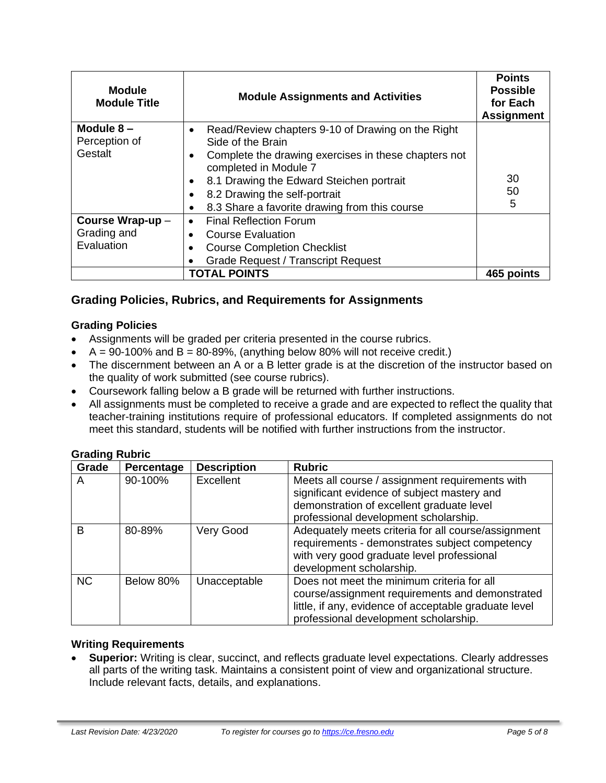| <b>Module</b><br><b>Module Title</b>          | <b>Module Assignments and Activities</b>                                                                                                                                                                                                                                              | <b>Points</b><br><b>Possible</b><br>for Each<br><b>Assignment</b> |
|-----------------------------------------------|---------------------------------------------------------------------------------------------------------------------------------------------------------------------------------------------------------------------------------------------------------------------------------------|-------------------------------------------------------------------|
| Module $8-$<br>Perception of<br>Gestalt       | Read/Review chapters 9-10 of Drawing on the Right<br>Side of the Brain<br>Complete the drawing exercises in these chapters not<br>completed in Module 7<br>8.1 Drawing the Edward Steichen portrait<br>8.2 Drawing the self-portrait<br>8.3 Share a favorite drawing from this course | 30<br>50<br>5                                                     |
| Course Wrap-up -<br>Grading and<br>Evaluation | <b>Final Reflection Forum</b><br><b>Course Evaluation</b><br><b>Course Completion Checklist</b><br><b>Grade Request / Transcript Request</b>                                                                                                                                          |                                                                   |
| <b>TOTAL POINTS</b>                           |                                                                                                                                                                                                                                                                                       | 465 points                                                        |

## **Grading Policies, Rubrics, and Requirements for Assignments**

#### **Grading Policies**

- Assignments will be graded per criteria presented in the course rubrics.
- $A = 90-100\%$  and  $B = 80-89\%$ , (anything below 80% will not receive credit.)
- The discernment between an A or a B letter grade is at the discretion of the instructor based on the quality of work submitted (see course rubrics).
- Coursework falling below a B grade will be returned with further instructions.
- All assignments must be completed to receive a grade and are expected to reflect the quality that teacher-training institutions require of professional educators. If completed assignments do not meet this standard, students will be notified with further instructions from the instructor.

| Grade     | Percentage | <b>Description</b> | <b>Rubric</b>                                                                                                                                                                                   |
|-----------|------------|--------------------|-------------------------------------------------------------------------------------------------------------------------------------------------------------------------------------------------|
| A         | 90-100%    | <b>Excellent</b>   | Meets all course / assignment requirements with<br>significant evidence of subject mastery and<br>demonstration of excellent graduate level<br>professional development scholarship.            |
| B         | 80-89%     | Very Good          | Adequately meets criteria for all course/assignment<br>requirements - demonstrates subject competency<br>with very good graduate level professional<br>development scholarship.                 |
| <b>NC</b> | Below 80%  | Unacceptable       | Does not meet the minimum criteria for all<br>course/assignment requirements and demonstrated<br>little, if any, evidence of acceptable graduate level<br>professional development scholarship. |

#### **Grading Rubric**

#### **Writing Requirements**

• **Superior:** Writing is clear, succinct, and reflects graduate level expectations. Clearly addresses all parts of the writing task. Maintains a consistent point of view and organizational structure. Include relevant facts, details, and explanations.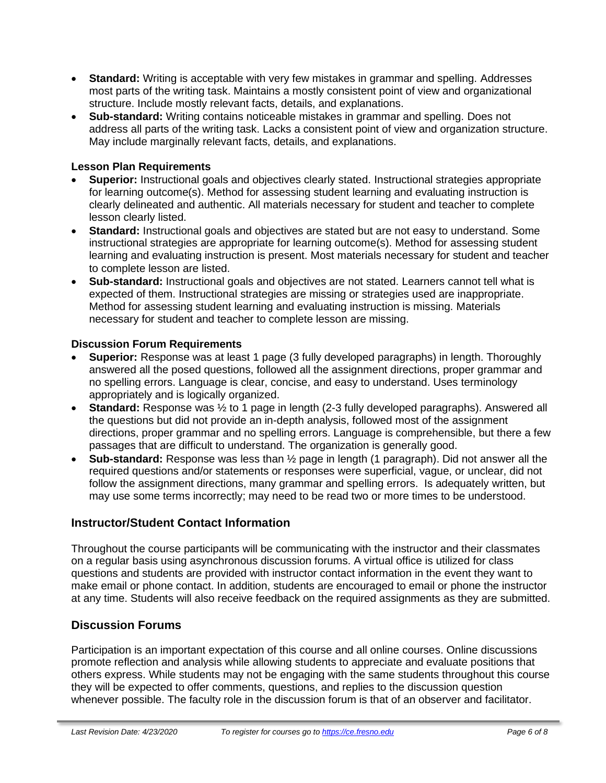- **Standard:** Writing is acceptable with very few mistakes in grammar and spelling. Addresses most parts of the writing task. Maintains a mostly consistent point of view and organizational structure. Include mostly relevant facts, details, and explanations.
- **Sub-standard:** Writing contains noticeable mistakes in grammar and spelling. Does not address all parts of the writing task. Lacks a consistent point of view and organization structure. May include marginally relevant facts, details, and explanations.

#### **Lesson Plan Requirements**

- **Superior:** Instructional goals and objectives clearly stated. Instructional strategies appropriate for learning outcome(s). Method for assessing student learning and evaluating instruction is clearly delineated and authentic. All materials necessary for student and teacher to complete lesson clearly listed.
- **Standard:** Instructional goals and objectives are stated but are not easy to understand. Some instructional strategies are appropriate for learning outcome(s). Method for assessing student learning and evaluating instruction is present. Most materials necessary for student and teacher to complete lesson are listed.
- **Sub-standard:** Instructional goals and objectives are not stated. Learners cannot tell what is expected of them. Instructional strategies are missing or strategies used are inappropriate. Method for assessing student learning and evaluating instruction is missing. Materials necessary for student and teacher to complete lesson are missing.

#### **Discussion Forum Requirements**

- **Superior:** Response was at least 1 page (3 fully developed paragraphs) in length. Thoroughly answered all the posed questions, followed all the assignment directions, proper grammar and no spelling errors. Language is clear, concise, and easy to understand. Uses terminology appropriately and is logically organized.
- **Standard:** Response was  $\frac{1}{2}$  to 1 page in length (2-3 fully developed paragraphs). Answered all the questions but did not provide an in-depth analysis, followed most of the assignment directions, proper grammar and no spelling errors. Language is comprehensible, but there a few passages that are difficult to understand. The organization is generally good.
- **Sub-standard:** Response was less than ½ page in length (1 paragraph). Did not answer all the required questions and/or statements or responses were superficial, vague, or unclear, did not follow the assignment directions, many grammar and spelling errors. Is adequately written, but may use some terms incorrectly; may need to be read two or more times to be understood.

#### **Instructor/Student Contact Information**

Throughout the course participants will be communicating with the instructor and their classmates on a regular basis using asynchronous discussion forums. A virtual office is utilized for class questions and students are provided with instructor contact information in the event they want to make email or phone contact. In addition, students are encouraged to email or phone the instructor at any time. Students will also receive feedback on the required assignments as they are submitted.

#### **Discussion Forums**

Participation is an important expectation of this course and all online courses. Online discussions promote reflection and analysis while allowing students to appreciate and evaluate positions that others express. While students may not be engaging with the same students throughout this course they will be expected to offer comments, questions, and replies to the discussion question whenever possible. The faculty role in the discussion forum is that of an observer and facilitator.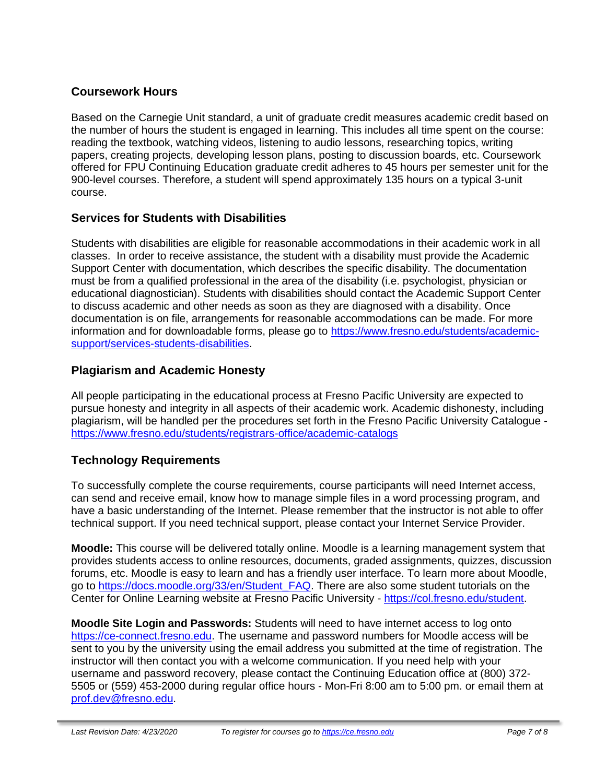#### **Coursework Hours**

Based on the Carnegie Unit standard, a unit of graduate credit measures academic credit based on the number of hours the student is engaged in learning. This includes all time spent on the course: reading the textbook, watching videos, listening to audio lessons, researching topics, writing papers, creating projects, developing lesson plans, posting to discussion boards, etc. Coursework offered for FPU Continuing Education graduate credit adheres to 45 hours per semester unit for the 900-level courses. Therefore, a student will spend approximately 135 hours on a typical 3-unit course.

#### **Services for Students with Disabilities**

Students with disabilities are eligible for reasonable accommodations in their academic work in all classes. In order to receive assistance, the student with a disability must provide the Academic Support Center with documentation, which describes the specific disability. The documentation must be from a qualified professional in the area of the disability (i.e. psychologist, physician or educational diagnostician). Students with disabilities should contact the Academic Support Center to discuss academic and other needs as soon as they are diagnosed with a disability. Once documentation is on file, arrangements for reasonable accommodations can be made. For more information and for downloadable forms, please go to [https://www.fresno.edu/students/academic](https://www.fresno.edu/students/academic-support/services-students-disabilities)[support/services-students-disabilities.](https://www.fresno.edu/students/academic-support/services-students-disabilities)

#### **Plagiarism and Academic Honesty**

All people participating in the educational process at Fresno Pacific University are expected to pursue honesty and integrity in all aspects of their academic work. Academic dishonesty, including plagiarism, will be handled per the procedures set forth in the Fresno Pacific University Catalogue <https://www.fresno.edu/students/registrars-office/academic-catalogs>

#### **Technology Requirements**

To successfully complete the course requirements, course participants will need Internet access, can send and receive email, know how to manage simple files in a word processing program, and have a basic understanding of the Internet. Please remember that the instructor is not able to offer technical support. If you need technical support, please contact your Internet Service Provider.

**Moodle:** This course will be delivered totally online. Moodle is a learning management system that provides students access to online resources, documents, graded assignments, quizzes, discussion forums, etc. Moodle is easy to learn and has a friendly user interface. To learn more about Moodle, go to [https://docs.moodle.org/33/en/Student\\_FAQ.](https://docs.moodle.org/33/en/Student_FAQ) There are also some student tutorials on the Center for Online Learning website at Fresno Pacific University - [https://col.fresno.edu/student.](https://col.fresno.edu/student)

**Moodle Site Login and Passwords:** Students will need to have internet access to log onto [https://ce-connect.fresno.edu.](https://ce-connect.fresno.edu/) The username and password numbers for Moodle access will be sent to you by the university using the email address you submitted at the time of registration. The instructor will then contact you with a welcome communication. If you need help with your username and password recovery, please contact the Continuing Education office at (800) 372- 5505 or (559) 453-2000 during regular office hours - Mon-Fri 8:00 am to 5:00 pm. or email them at [prof.dev@fresno.edu.](mailto:prof.dev@fresno.edu)